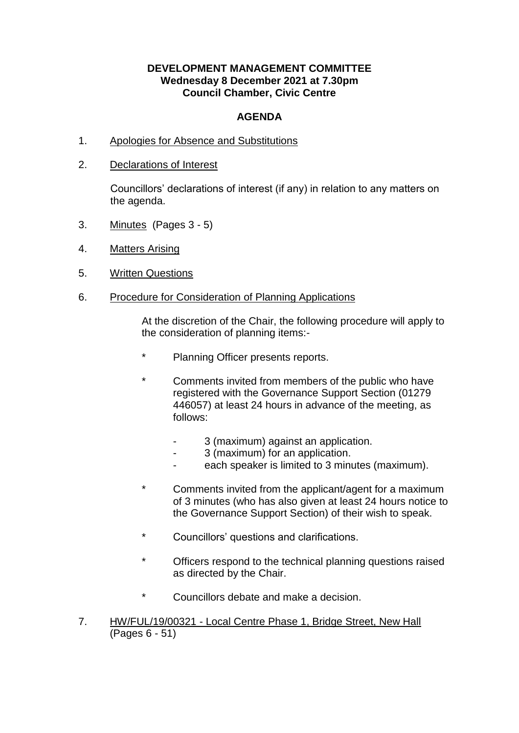## **DEVELOPMENT MANAGEMENT COMMITTEE Wednesday 8 December 2021 at 7.30pm Council Chamber, Civic Centre**

## **AGENDA**

- 1. Apologies for Absence and Substitutions
- 2. Declarations of Interest

Councillors' declarations of interest (if any) in relation to any matters on the agenda.

- 3. Minutes (Pages 3 5)
- 4. Matters Arising
- 5. Written Questions
- 6. Procedure for Consideration of Planning Applications

At the discretion of the Chair, the following procedure will apply to the consideration of planning items:-

- \* Planning Officer presents reports.
- Comments invited from members of the public who have registered with the Governance Support Section (01279 446057) at least 24 hours in advance of the meeting, as follows:
	- 3 (maximum) against an application.
	- 3 (maximum) for an application.
	- each speaker is limited to 3 minutes (maximum).
- \* Comments invited from the applicant/agent for a maximum of 3 minutes (who has also given at least 24 hours notice to the Governance Support Section) of their wish to speak.
- \* Councillors' questions and clarifications.
- \* Officers respond to the technical planning questions raised as directed by the Chair.
- \* Councillors debate and make a decision.
- 7. HW/FUL/19/00321 Local Centre Phase 1, Bridge Street, New Hall (Pages 6 - 51)